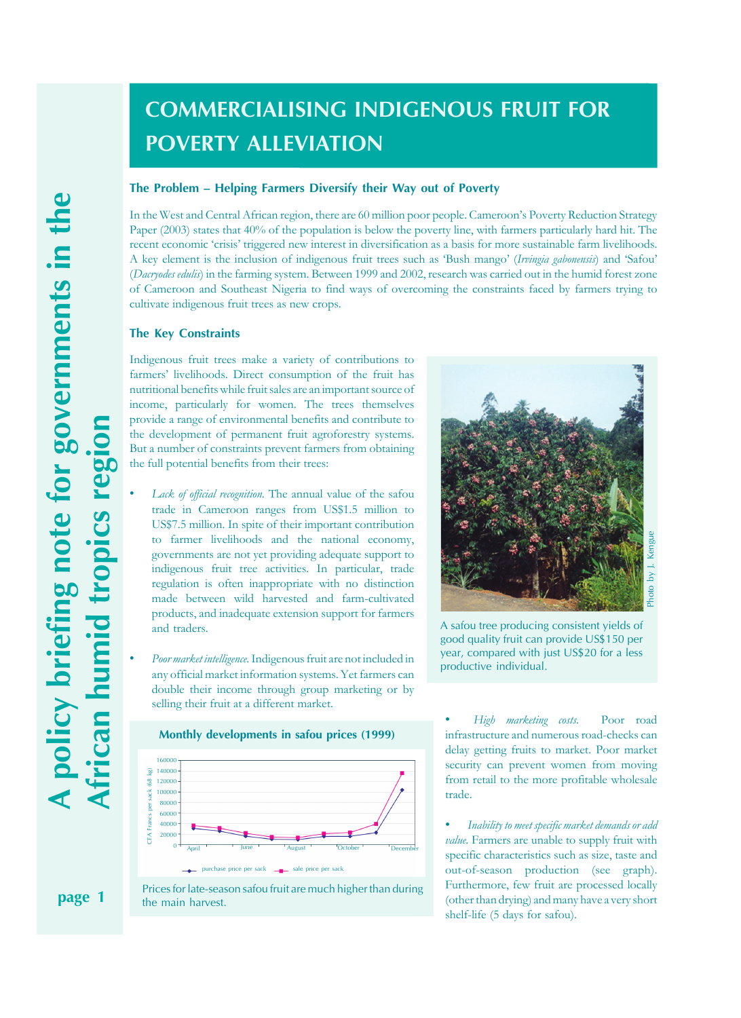# **COMMERCIALISING INDIGENOUS FRUIT FOR POVERTY ALLEVIATION**

## **The Problem – Helping Farmers Diversify their Way out of Poverty**

In the West and Central African region, there are 60 million poor people. Cameroon's Poverty Reduction Strategy Paper (2003) states that 40% of the population is below the poverty line, with farmers particularly hard hit. The recent economic 'crisis' triggered new interest in diversification as a basis for more sustainable farm livelihoods. A key element is the inclusion of indigenous fruit trees such as 'Bush mango' (*Irvingia gabonensis*) and 'Safou' (*Dacryodes edulis*) in the farming system. Between 1999 and 2002, research was carried out in the humid forest zone of Cameroon and Southeast Nigeria to find ways of overcoming the constraints faced by farmers trying to cultivate indigenous fruit trees as new crops.

#### **The Key Constraints**

Indigenous fruit trees make a variety of contributions to farmers' livelihoods. Direct consumption of the fruit has nutritional benefits while fruit sales are an important source of income, particularly for women. The trees themselves provide a range of environmental benefits and contribute to the development of permanent fruit agroforestry systems. But a number of constraints prevent farmers from obtaining the full potential benefits from their trees:

- Lack of official recognition. The annual value of the safou trade in Cameroon ranges from US\$1.5 million to US\$7.5 million. In spite of their important contribution to farmer livelihoods and the national economy, governments are not yet providing adequate support to indigenous fruit tree activities. In particular, trade regulation is often inappropriate with no distinction made between wild harvested and farm-cultivated products, and inadequate extension support for farmers and traders.
- *Poor market intelligence.* Indigenous fruit are not included in any official market information systems. Yet farmers can double their income through group marketing or by selling their fruit at a different market.



**Monthly developments in safou prices (1999)**

Prices for late-season safou fruit are much higher than during the main harvest.



A safou tree producing consistent yields of good quality fruit can provide US\$150 per year, compared with just US\$20 for a less productive individual.

• *High marketing costs.* Poor road infrastructure and numerous road-checks can delay getting fruits to market. Poor market security can prevent women from moving from retail to the more profitable wholesale trade.

• *Inability to meet specific market demands or add value.* Farmers are unable to supply fruit with specific characteristics such as size, taste and out-of-season production (see graph). Furthermore, few fruit are processed locally (other than drying) and many have a very short shelf-life (5 days for safou).

A policy briefing note for governments in the **page 1 A policy briefing note for governments in the African humid tropics region** region